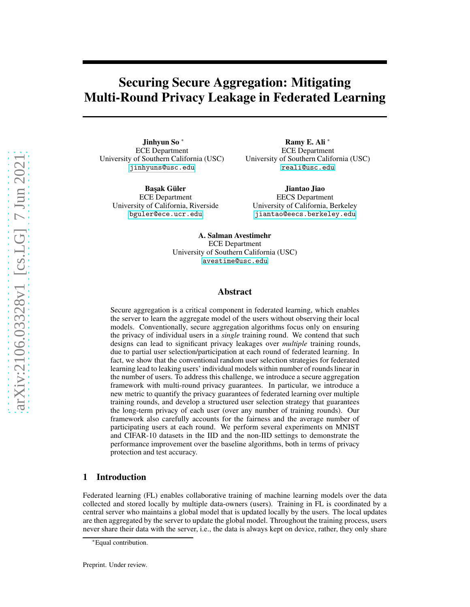# Securing Secure Aggregation: Mitigating Multi-Round Privacy Leakage in Federated Learning

Jinhyun So <sup>∗</sup> ECE Department University of Southern California (USC) [jinhyuns@usc.edu](mailto:jinhyuns@usc.edu)

**Başak Güler** ECE Department University of California, Riverside [bguler@ece.ucr.edu](mailto:bguler@ece.ucr.edu)

Ramy E. Ali <sup>∗</sup> ECE Department University of Southern California (USC) [reali@usc.edu](mailto:reali@usc.edu)

Jiantao Jiao EECS Department University of California, Berkeley [jiantao@eecs.berkeley.edu](mailto:jiantao@eecs.berkeley.edu)

A. Salman Avestimehr ECE Department University of Southern California (USC) <avestime@usc.edu>

### Abstract

Secure aggregation is a critical component in federated learning, which enables the server to learn the aggregate model of the users without observing their local models. Conventionally, secure aggregation algorithms focus only on ensuring the privacy of individual users in a *single* training round. We contend that such designs can lead to significant privacy leakages over *multiple* training rounds, due to partial user selection/participation at each round of federated learning. In fact, we show that the conventional random user selection strategies for federated learning lead to leaking users' individual models within number of rounds linear in the number of users. To address this challenge, we introduce a secure aggregation framework with multi-round privacy guarantees. In particular, we introduce a new metric to quantify the privacy guarantees of federated learning over multiple training rounds, and develop a structured user selection strategy that guarantees the long-term privacy of each user (over any number of training rounds). Our framework also carefully accounts for the fairness and the average number of participating users at each round. We perform several experiments on MNIST and CIFAR-10 datasets in the IID and the non-IID settings to demonstrate the performance improvement over the baseline algorithms, both in terms of privacy protection and test accuracy.

#### 1 Introduction

Federated learning (FL) enables collaborative training of machine learning models over the data collected and stored locally by multiple data-owners (users). Training in FL is coordinated by a central server who maintains a global model that is updated locally by the users. The local updates are then aggregated by the server to update the global model. Throughout the training process, users never share their data with the server, i.e., the data is always kept on device, rather, they only share

<sup>∗</sup>Equal contribution.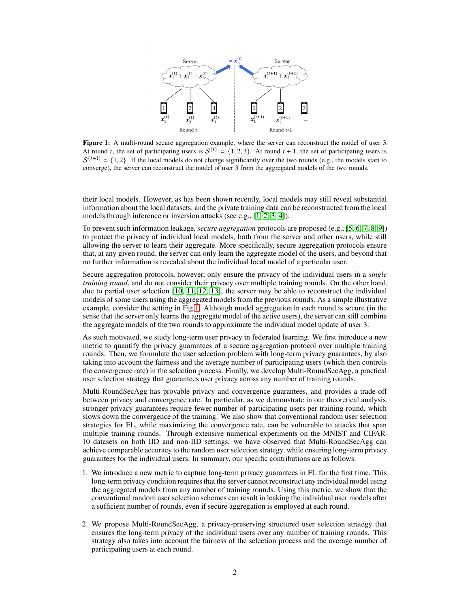<span id="page-1-0"></span>

Figure 1: A multi-round secure aggregation example, where the server can reconstruct the model of user 3. At round t, the set of participating users is  $S^{(t)} = \{1, 2, 3\}$ . At round  $t + 1$ , the set of participating users is  $\mathcal{S}^{(t+1)} = \{1, 2\}$ . If the local models do not change significantly over the two rounds (e.g., the models start to converge), the server can reconstruct the model of user 3 from the aggregated models of the two rounds.

their local models. However, as has been shown recently, local models may still reveal substantial information about the local datasets, and the private training data can be reconstructed from the local models through inference or inversion attacks (see e.g., [\[1,](#page-10-0) [2,](#page-10-1) [3,](#page-10-2) [4\]](#page-10-3)).

To prevent such information leakage, *secure aggregation* protocols are proposed (e.g., [\[5,](#page-10-4) [6,](#page-10-5) [7,](#page-10-6) [8,](#page-10-7) [9\]](#page-10-8)) to protect the privacy of individual local models, both from the server and other users, while still allowing the server to learn their aggregate. More specifically, secure aggregation protocols ensure that, at any given round, the server can only learn the aggregate model of the users, and beyond that no further information is revealed about the individual local model of a particular user.

Secure aggregation protocols, however, only ensure the privacy of the individual users in a *single training round*, and do not consider their privacy over multiple training rounds. On the other hand, due to partial user selection  $[10, 11, 12, 13]$  $[10, 11, 12, 13]$  $[10, 11, 12, 13]$  $[10, 11, 12, 13]$ , the server may be able to reconstruct the individual models of some users using the aggregated models from the previous rounds. As a simple illustrative example, consider the setting in Fig[.1.](#page-1-0) Although model aggregation in each round is secure (in the sense that the server only learns the aggregate model of the active users), the server can still combine the aggregate models of the two rounds to approximate the individual model update of user 3.

As such motivated, we study long-term user privacy in federated learning. We first introduce a new metric to quantify the privacy guarantees of a secure aggregation protocol over multiple training rounds. Then, we formulate the user selection problem with long-term privacy guarantees, by also taking into account the fairness and the average number of participating users (which then controls the convergence rate) in the selection process. Finally, we develop Multi-RoundSecAgg, a practical user selection strategy that guarantees user privacy across any number of training rounds.

Multi-RoundSecAgg has provable privacy and convergence guarantees, and provides a trade-off between privacy and convergence rate. In particular, as we demonstrate in our theoretical analysis, stronger privacy guarantees require fewer number of participating users per training round, which slows down the convergence of the training. We also show that conventional random user selection strategies for FL, while maximizing the convergence rate, can be vulnerable to attacks that span multiple training rounds. Through extensive numerical experiments on the MNIST and CIFAR-10 datasets on both IID and non-IID settings, we have observed that Multi-RoundSecAgg can achieve comparable accuracy to the random user selection strategy, while ensuring long-term privacy guarantees for the individual users. In summary, our specific contributions are as follows.

- 1. We introduce a new metric to capture long-term privacy guarantees in FL for the first time. This long-term privacy condition requires that the server cannot reconstruct any individual model using the aggregated models from any number of training rounds. Using this metric, we show that the conventional random user selection schemes can result in leaking the individual user models after a sufficient number of rounds, even if secure aggregation is employed at each round.
- 2. We propose Multi-RoundSecAgg, a privacy-preserving structured user selection strategy that ensures the long-term privacy of the individual users over any number of training rounds. This strategy also takes into account the fairness of the selection process and the average number of participating users at each round.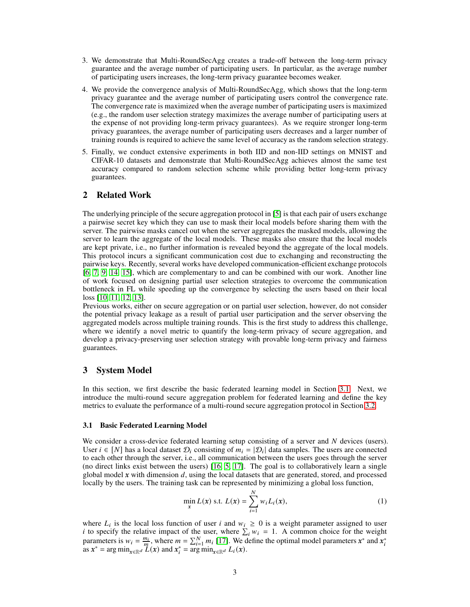- 3. We demonstrate that Multi-RoundSecAgg creates a trade-off between the long-term privacy guarantee and the average number of participating users. In particular, as the average number of participating users increases, the long-term privacy guarantee becomes weaker.
- 4. We provide the convergence analysis of Multi-RoundSecAgg, which shows that the long-term privacy guarantee and the average number of participating users control the convergence rate. The convergence rate is maximized when the average number of participating users is maximized (e.g., the random user selection strategy maximizes the average number of participating users at the expense of not providing long-term privacy guarantees). As we require stronger long-term privacy guarantees, the average number of participating users decreases and a larger number of training rounds is required to achieve the same level of accuracy as the random selection strategy.
- 5. Finally, we conduct extensive experiments in both IID and non-IID settings on MNIST and CIFAR-10 datasets and demonstrate that Multi-RoundSecAgg achieves almost the same test accuracy compared to random selection scheme while providing better long-term privacy guarantees.

# 2 Related Work

The underlying principle of the secure aggregation protocol in [\[5\]](#page-10-4) is that each pair of users exchange a pairwise secret key which they can use to mask their local models before sharing them with the server. The pairwise masks cancel out when the server aggregates the masked models, allowing the server to learn the aggregate of the local models. These masks also ensure that the local models are kept private, i.e., no further information is revealed beyond the aggregate of the local models. This protocol incurs a significant communication cost due to exchanging and reconstructing the pairwise keys. Recently, several works have developed communication-efficient exchange protocols [\[6,](#page-10-5) [7,](#page-10-6) [9,](#page-10-8) [14,](#page-10-13) [15\]](#page-10-14), which are complementary to and can be combined with our work. Another line of work focused on designing partial user selection strategies to overcome the communication bottleneck in FL while speeding up the convergence by selecting the users based on their local loss [\[10,](#page-10-9) [11,](#page-10-10) [12,](#page-10-11) [13\]](#page-10-12).

Previous works, either on secure aggregation or on partial user selection, however, do not consider the potential privacy leakage as a result of partial user participation and the server observing the aggregated models across multiple training rounds. This is the first study to address this challenge, where we identify a novel metric to quantify the long-term privacy of secure aggregation, and develop a privacy-preserving user selection strategy with provable long-term privacy and fairness guarantees.

### 3 System Model

In this section, we first describe the basic federated learning model in Section [3.1.](#page-2-0) Next, we introduce the multi-round secure aggregation problem for federated learning and define the key metrics to evaluate the performance of a multi-round secure aggregation protocol in Section [3.2.](#page-3-0)

#### <span id="page-2-0"></span>3.1 Basic Federated Learning Model

We consider a cross-device federated learning setup consisting of a server and  $N$  devices (users). User  $i \in [N]$  has a local dataset  $\mathcal{D}_i$  consisting of  $m_i = |\mathcal{D}_i|$  data samples. The users are connected to each other through the server, i.e., all communication between the users goes through the server (no direct links exist between the users) [\[16,](#page-10-15) [5,](#page-10-4) [17\]](#page-10-16). The goal is to collaboratively learn a single global model  $x$  with dimension  $d$ , using the local datasets that are generated, stored, and processed locally by the users. The training task can be represented by minimizing a global loss function,

<span id="page-2-1"></span>
$$
\min_{x} L(x) \text{ s.t. } L(x) = \sum_{i=1}^{N} w_i L_i(x), \tag{1}
$$

where  $L_i$  is the local loss function of user i and  $w_i \geq 0$  is a weight parameter assigned to user *i* to specify the relative impact of the user, where  $\sum_i w_i = 1$ . A common choice for the weight parameters is  $w_i = \frac{m_i}{m}$ , where  $m = \sum_{i=1}^{N} m_i$  [\[17\]](#page-10-16). We define the optimal model parameters  $x^*$  and  $x_i^*$  as  $x^* = \arg \min_{x \in \mathbb{R}^d} L(x)$  and  $x_i^* = \arg \min_{x \in \mathbb{R}^d} L(x)$ .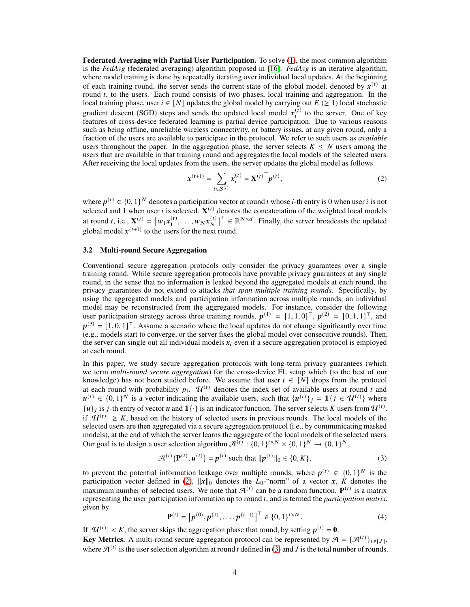Federated Averaging with Partial User Participation. To solve [\(1\)](#page-2-1), the most common algorithm is the *FedAvg* (federated averaging) algorithm proposed in [\[16\]](#page-10-15). *FedAvg* is an iterative algorithm, where model training is done by repeatedly iterating over individual local updates. At the beginning of each training round, the server sends the current state of the global model, denoted by  $x^{(t)}$  at round  $t$ , to the users. Each round consists of two phases, local training and aggregation. In the local training phase, user  $i \in [N]$  updates the global model by carrying out  $E \geq 1$ ) local stochastic gradient descent (SGD) steps and sends the updated local model  $x_i^{(t)}$  $t_i^{(t)}$  to the server. One of key features of cross-device federated learning is partial device participation. Due to various reasons such as being offline, unreliable wireless connectivity, or battery issues, at any given round, only a fraction of the users are available to participate in the protocol. We refer to such users as *available* users throughout the paper. In the aggregation phase, the server selects  $K \leq N$  users among the users that are available in that training round and aggregates the local models of the selected users. After receiving the local updates from the users, the server updates the global model as follows

<span id="page-3-1"></span>
$$
x^{(t+1)} = \sum_{i \in S^{(t)}} x_i^{(t)} = \mathbf{X}^{(t)}^\top p^{(t)},
$$
\n(2)

where  $p^{(t)} \in \{0,1\}^N$  denotes a participation vector at round t whose i-th entry is 0 when user i is not selected and 1 when user *i* is selected.  $X^{(t)}$  denotes the concatenation of the weighted local models at round *t*, i.e.,  $\mathbf{X}^{(t)} = [w_1 x_1^{(t)}]$  $x_1^{(t)}, \ldots, w_N x_N^{(t)}$  $\begin{bmatrix} (t) \\ N \end{bmatrix}^T \in \mathbb{R}^{N \times d}$ . Finally, the server broadcasts the updated global model  $x^{(t+1)}$  to the users for the next round.

#### <span id="page-3-0"></span>3.2 Multi-round Secure Aggregation

Conventional secure aggregation protocols only consider the privacy guarantees over a single training round. While secure aggregation protocols have provable privacy guarantees at any single round, in the sense that no information is leaked beyond the aggregated models at each round, the privacy guarantees do not extend to attacks *that span multiple training rounds*. Specifically, by using the aggregated models and participation information across multiple rounds, an individual model may be reconstructed from the aggregated models. For instance, consider the following user participation strategy across three training rounds,  $p^{(1)} = [1, 1, 0]^{\top}$ ,  $p^{(2)} = [0, 1, 1]^{\top}$ , and  $p^{(3)} = [1, 0, 1]^\top$ . Assume a scenario where the local updates do not change significantly over time (e.g., models start to converge, or the server fixes the global model over consecutive rounds). Then, the server can single out all individual models  $x_i$  even if a secure aggregation protocol is employed at each round.

In this paper, we study secure aggregation protocols with long-term privacy guarantees (which we term *multi-round secure aggregation*) for the cross-device FL setup which (to the best of our knowledge) has not been studied before. We assume that user  $i \in [N]$  drops from the protocol at each round with probability  $p_i$ .  $\mathcal{U}^{(t)}$  denotes the index set of available users at round t and  $u^{(t)} \in \{0,1\}^N$  is a vector indicating the available users, such that  $\{u^{(t)}\}_j = 1$ { $j \in \mathcal{U}^{(t)}\}$  where  $\{u\}_j$  is *j*-th entry of vector *u* and  $1\{\cdot\}$  is an indicator function. The server selects K users from  $\mathcal{U}^{(t)}$ , if  $|\mathcal{U}^{(t)}| \geq K$ , based on the history of selected users in previous rounds. The local models of the selected users are then aggregated via a secure aggregation protocol (i.e., by communicating masked models), at the end of which the server learns the aggregate of the local models of the selected users. Our goal is to design a user selection algorithm  $\mathcal{A}^{(t)}$  :  $\{0,1\}^{t \times N} \times \{0,1\}^N \rightarrow \{0,1\}^N$ ,

<span id="page-3-2"></span>
$$
\mathcal{A}^{(t)}(\mathbf{P}^{(t)}, \mathbf{u}^{(t)}) = \mathbf{p}^{(t)} \text{ such that } ||\mathbf{p}^{(t)}||_0 \in \{0, K\},
$$
\n(3)

to prevent the potential information leakage over multiple rounds, where  $p^{(t)} \in \{0,1\}^N$  is the participation vector defined in [\(2\)](#page-3-1),  $||x||_0$  denotes the  $L_0$ -"norm" of a vector *x*,  $K$  denotes the maximum number of selected users. We note that  $\mathcal{A}^{(t)}$  can be a random function.  $\mathbf{P}^{(t)}$  is a matrix representing the user participation information up to round t, and is termed the *participation matrix*, given by

<span id="page-3-3"></span>
$$
\mathbf{P}^{(t)} = \left[ p^{(0)}, p^{(1)}, \dots, p^{(t-1)} \right]^\top \in \{0, 1\}^{t \times N}.
$$
 (4)

If  $|\mathcal{U}^{(t)}| < K$ , the server skips the aggregation phase that round, by setting  $p^{(t)} = 0$ .

**Key Metrics.** A multi-round secure aggregation protocol can be represented by  $\mathcal{A} = \{ \mathcal{A}^{(t)} \}_{t \in [J]},$ where  $\mathcal{A}^{(t)}$  is the user selection algorithm at round t defined in [\(3\)](#page-3-2) and J is the total number of rounds.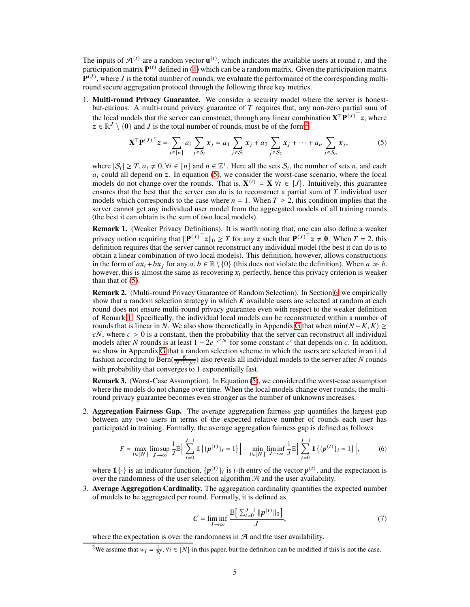The inputs of  $\mathcal{A}^{(t)}$  are a random vector  $\mathbf{u}^{(t)}$ , which indicates the available users at round t, and the participation matrix  $P^{(t)}$  defined in [\(4\)](#page-3-3) which can be a random matrix. Given the participation matrix  ${\bf P}^{(J)}$ , where J is the total number of rounds, we evaluate the performance of the corresponding multiround secure aggregation protocol through the following three key metrics.

1. Multi-round Privacy Guarantee. We consider a security model where the server is honestbut-curious. A multi-round privacy guarantee of  $T$  requires that, any non-zero partial sum of the local models that the server can construct, through any linear combination  $X^{\top}P^{(J)^{\top}}z$ , where  $z \in \mathbb{R}^J \setminus \{0\}$  and *J* is the total number of rounds, must be of the form<sup>[2](#page-4-0)</sup>

<span id="page-4-1"></span>
$$
\mathbf{X}^{\top} \mathbf{P}^{(J)^{\top}} z = \sum_{i \in [n]} a_i \sum_{j \in S_i} x_j = a_1 \sum_{j \in S_1} x_j + a_2 \sum_{j \in S_2} x_j + \dots + a_n \sum_{j \in S_n} x_j,
$$
 (5)

where  $|S_i| \geq T, a_i \neq 0, \forall i \in [n]$  and  $n \in \mathbb{Z}^+$ . Here all the sets  $S_i$ , the number of sets n, and each  $a_i$  could all depend on  $z$ . In equation [\(5\)](#page-4-1), we consider the worst-case scenario, where the local models do not change over the rounds. That is,  $X^{(t)} = X \forall t \in [J]$ . Intuitively, this guarantee ensures that the best that the server can do is to reconstruct a partial sum of  $\overline{T}$  individual user models which corresponds to the case where  $n = 1$ . When  $T \ge 2$ , this condition implies that the server cannot get any individual user model from the aggregated models of all training rounds (the best it can obtain is the sum of two local models).

<span id="page-4-2"></span>Remark 1. (Weaker Privacy Definitions). It is worth noting that, one can also define a weaker privacy notion requiring that  $\|\mathbf{P}^{(J)^\top}z\|_0 \geq T$  for any  $z$  such that  $\mathbf{P}^{(J)^\top}z \neq \mathbf{0}$ . When  $T = 2$ , this definition requires that the server cannot reconstruct any individual model (the best it can do is to obtain a linear combination of two local models). This definition, however, allows constructions in the form of  $ax_i + bx_j$  for any  $a, b \in \mathbb{R} \setminus \{0\}$  (this does not violate the definition). When  $a \gg b$ , however, this is almost the same as recovering  $x_i$  perfectly, hence this privacy criterion is weaker than that of  $(5)$ .

<span id="page-4-4"></span>Remark 2. (Multi-round Privacy Guarantee of Random Selection). In Section [6,](#page-7-0) we empirically show that a random selection strategy in which  $K$  available users are selected at random at each round does not ensure multi-round privacy guarantee even with respect to the weaker definition of Remark [1.](#page-4-2) Specifically, the individual local models can be reconstructed within a number of rounds that is linear in N. We also show theoretically in Appendix [G](#page-17-0) that when  $min(N - K, K) \ge$  $cN$ , where  $c > 0$  is a constant, then the probability that the server can reconstruct all individual models after N rounds is at least  $1 - 2e^{-c/N}$  for some constant c' that depends on c. In addition, we show in Appendix [G](#page-17-0) that a random selection scheme in which the users are selected in an i.i.d fashion according to Bern( $\frac{K}{N(1-p)}$ ) also reveals all individual models to the server after N rounds with probability that converges to 1 exponentially fast.

Remark 3. (Worst-Case Assumption). In Equation [\(5\)](#page-4-1), we considered the worst-case assumption where the models do not change over time. When the local models change over rounds, the multiround privacy guarantee becomes even stronger as the number of unknowns increases.

2. Aggregation Fairness Gap. The average aggregation fairness gap quantifies the largest gap between any two users in terms of the expected relative number of rounds each user has participated in training. Formally, the average aggregation fairness gap is defined as follows

$$
F = \max_{i \in [N]} \limsup_{J \to \infty} \frac{1}{J} \mathbb{E} \Big[ \sum_{t=0}^{J-1} \mathbb{1} \{ \{ p^{(t)} \}_i = 1 \} \Big] - \min_{i \in [N]} \liminf_{J \to \infty} \frac{1}{J} \mathbb{E} \Big[ \sum_{t=0}^{J-1} \mathbb{1} \{ \{ p^{(t)} \}_i = 1 \} \Big], \tag{6}
$$

where  $1\{\cdot\}$  is an indicator function,  $\{p^{(t)}\}_i$  is *i*-th entry of the vector  $p^{(t)}$ , and the expectation is over the randomness of the user selection algorithm  $A$  and the user availability.

3. Average Aggregation Cardinality. The aggregation cardinality quantifies the expected number of models to be aggregated per round. Formally, it is defined as

<span id="page-4-3"></span>
$$
C = \liminf_{J \to \infty} \frac{\mathbb{E} \left[ \sum_{t=0}^{J-1} ||p^{(t)}||_0 \right]}{J},\tag{7}
$$

where the expectation is over the randomness in  $A$  and the user availability.

<span id="page-4-0"></span><sup>&</sup>lt;sup>2</sup>We assume that  $w_i = \frac{1}{N}$ ,  $\forall i \in [N]$  in this paper, but the definition can be modified if this is not the case.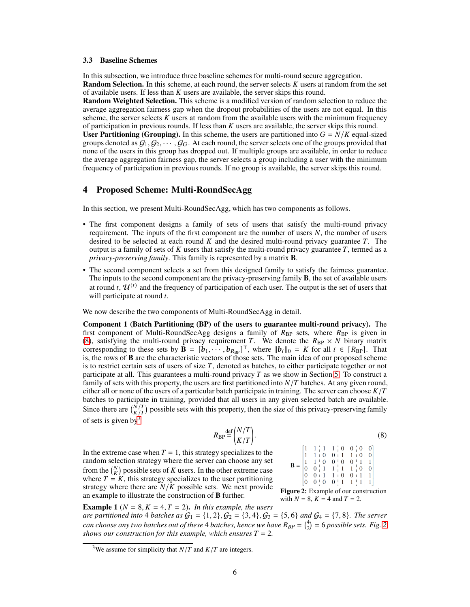#### <span id="page-5-4"></span>3.3 Baseline Schemes

In this subsection, we introduce three baseline schemes for multi-round secure aggregation. **Random Selection.** In this scheme, at each round, the server selects  $K$  users at random from the set of available users. If less than  $K$  users are available, the server skips this round.

Random Weighted Selection. This scheme is a modified version of random selection to reduce the average aggregation fairness gap when the dropout probabilities of the users are not equal. In this scheme, the server selects  $K$  users at random from the available users with the minimum frequency of participation in previous rounds. If less than  $K$  users are available, the server skips this round.

User Partitioning (Grouping). In this scheme, the users are partitioned into  $G = N/K$  equal-sized groups denoted as  $G_1, G_2, \cdots, G_G$ . At each round, the server selects one of the groups provided that none of the users in this group has dropped out. If multiple groups are available, in order to reduce the average aggregation fairness gap, the server selects a group including a user with the minimum frequency of participation in previous rounds. If no group is available, the server skips this round.

### <span id="page-5-3"></span>4 Proposed Scheme: Multi-RoundSecAgg

In this section, we present Multi-RoundSecAgg, which has two components as follows.

- The first component designs a family of sets of users that satisfy the multi-round privacy requirement. The inputs of the first component are the number of users  $N$ , the number of users desired to be selected at each round  $K$  and the desired multi-round privacy guarantee  $T$ . The output is a family of sets of  $K$  users that satisfy the multi-round privacy guarantee  $T$ , termed as a *privacy-preserving family*. This family is represented by a matrix **B**.
- The second component selects a set from this designed family to satisfy the fairness guarantee. The inputs to the second component are the privacy-preserving family **B**, the set of available users at round t,  $\mathcal{U}^{(t)}$  and the frequency of participation of each user. The output is the set of users that will participate at round  $t$ .

We now describe the two components of Multi-RoundSecAgg in detail.

Component 1 (Batch Partitioning (BP) of the users to guarantee multi-round privacy). The first component of Multi-RoundSecAgg designs a family of  $R_{BP}$  sets, where  $R_{BP}$  is given in [\(8\)](#page-5-0), satisfying the multi-round privacy requirement T. We denote the  $R_{\rm BP} \times N$  binary matrix corresponding to these sets by  $\mathbf{\hat{B}} = [\mathbf{\hat{b}}_1, \dots, \mathbf{\hat{b}}_{R_{BP}}]^\top$ , where  $||\mathbf{\hat{b}}_i||_0 = K$  for all  $i \in [R_{BP}]$ . That is, the rows of **B** are the characteristic vectors of those sets. The main idea of our proposed scheme is to restrict certain sets of users of size  $T$ , denoted as batches, to either participate together or not participate at all. This guarantees a multi-round privacy  $T$  as we show in Section [5.](#page-6-0) To construct a family of sets with this property, the users are first partitioned into  $N/T$  batches. At any given round, either all or none of the users of a particular batch participate in training. The server can choose  $K/T$ batches to participate in training, provided that all users in any given selected batch are available. Since there are  $\binom{N}{K/T}$  possible sets with this property, then the size of this privacy-preserving family of sets is given by  $\frac{3}{2}$  $\frac{3}{2}$  $\frac{3}{2}$ 

<span id="page-5-0"></span>
$$
R_{\rm BP} \stackrel{\text{def}}{=} \begin{pmatrix} N/T \\ K/T \end{pmatrix} . \tag{8}
$$

In the extreme case when  $T = 1$ , this strategy specializes to the random selection strategy where the server can choose any set from the  $\binom{N}{K}$  possible sets of K users. In the other extreme case where  $T = K$ , this strategy specializes to the user partitioning strategy where there are  $N/K$  possible sets. We next provide an example to illustrate the construction of **B** further.

<span id="page-5-2"></span>

Figure 2: Example of our construction with  $N = 8$ ,  $K = 4$  and  $T = 2$ .

**Example 1** ( $N = 8, K = 4, T = 2$ ). *In this example, the users are partitioned into* 4 *batches as*  $G_1 = \{1, 2\}$ ,  $G_2 = \{3, 4\}$ ,  $G_3 = \{5, 6\}$  *and*  $G_4 = \{7, 8\}$ *. The server can choose any two batches out of these* 4 *batches, hence we have*  $R_{BP} = \binom{4}{2} = 6$  *possible sets. Fig.* [2](#page-5-2) *shows our construction for this example, which ensures*  $T = 2$ *.* 

<span id="page-5-1"></span><sup>&</sup>lt;sup>3</sup>We assume for simplicity that  $N/T$  and  $K/T$  are integers.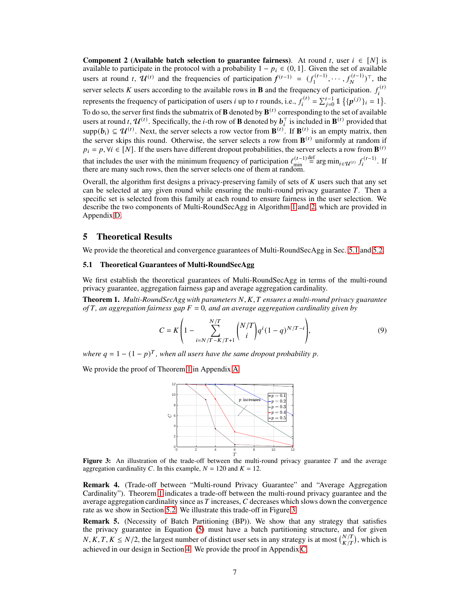**Component 2 (Available batch selection to guarantee fairness).** At round *t*, user  $i \in [N]$  is available to participate in the protocol with a probability  $1 - p_i \in (0, 1]$ . Given the set of available users at round *t*,  $\mathcal{U}^{(t)}$  and the frequencies of participation  $f^{(t-1)} = (f_1^{(t-1)}$  $f_1^{(t-1)}, \cdots, f_N^{(t-1)}$ , the server selects K users according to the available rows in **B** and the frequency of participation.  $f_i^{(t)}$ i represents the frequency of participation of users *i* up to *t* rounds, i.e.,  $f_i^{(t)}$  $\mathcal{E}_i^{(t)} = \sum_{j=0}^{t-1} \mathbb{1} \{ \{p^{(j)}\}_i = 1 \}.$ To do so, the server first finds the submatrix of  $\bf{B}$  denoted by  ${\bf B}^{(t)}$  corresponding to the set of available users at round *t*,  $\mathcal{U}^{(t)}$ . Specifically, the *i*-th row of **B** denoted by  $b_i^{\top}$  is included in  $\mathbf{B}^{(t)}$  provided that  $\supp(b_i) \subseteq \mathcal{U}^{(t)}$ . Next, the server selects a row vector from  $\mathbf{B}^{(t)}$ . If  $\mathbf{B}^{(t)}$  is an empty matrix, then the server skips this round. Otherwise, the server selects a row from  $\mathbf{B}^{(t)}$  uniformly at random if  $p_i = p$ ,  $\forall i \in [N]$ . If the users have different dropout probabilities, the server selects a row from  $\mathbf{B}^{(t)}$ that includes the user with the minimum frequency of participation  $\ell_{\min}^{(t-1)}$ min  $\sum_{i=1}^{\text{def}} \arg \min_{i \in \mathcal{U}^{(t)}} f_i^{(t-1)}$  $i^{(i-1)}$ . If there are many such rows, then the server selects one of them at random.

Overall, the algorithm first designs a privacy-preserving family of sets of  $K$  users such that any set can be selected at any given round while ensuring the multi-round privacy guarantee  $T$ . Then a specific set is selected from this family at each round to ensure fairness in the user selection. We describe the two components of Multi-RoundSecAgg in Algorithm [1](#page-16-0) and [2,](#page-16-1) which are provided in Appendix [D.](#page-15-0)

### <span id="page-6-0"></span>5 Theoretical Results

<span id="page-6-1"></span>We provide the theoretical and convergence guarantees of Multi-RoundSecAgg in Sec. [5.1](#page-6-1) and [5.2.](#page-7-1)

### 5.1 Theoretical Guarantees of Multi-RoundSecAgg

We first establish the theoretical guarantees of Multi-RoundSecAgg in terms of the multi-round privacy guarantee, aggregation fairness gap and average aggregation cardinality.

<span id="page-6-2"></span>**Theorem 1.** *Multi-RoundSecAgg with parameters N, K, T ensures a multi-round privacy guarantee of*  $T$ *, an aggregation fairness gap*  $F = 0$ *, and an average aggregation cardinality given by* 

$$
C = K \left( 1 - \sum_{i=N/T-K/T+1}^{N/T} {N/T \choose i} q^{i} (1-q)^{N/T-i} \right),
$$
\n(9)

where  $q = 1 - (1 - p)^T$ , when all users have the same dropout probability p.

<span id="page-6-3"></span>We provide the proof of Theorem [1](#page-6-2) in Appendix [A.](#page-12-0)



**Figure 3:** An illustration of the trade-off between the multi-round privacy guarantee  $T$  and the average aggregation cardinality C. In this example,  $N = 120$  and  $K = 12$ .

Remark 4. (Trade-off between "Multi-round Privacy Guarantee" and "Average Aggregation Cardinality"). Theorem [1](#page-6-2) indicates a trade-off between the multi-round privacy guarantee and the average aggregation cardinality since as  $T$  increases,  $C$  decreases which slows down the convergence rate as we show in Section [5.2.](#page-7-1) We illustrate this trade-off in Figure [3.](#page-6-3)

Remark 5. (Necessity of Batch Partitioning (BP)). We show that any strategy that satisfies the privacy guarantee in Equation [\(5\)](#page-4-1) must have a batch partitioning structure, and for given  $N, K, T, K \leq N/2$ , the largest number of distinct user sets in any strategy is at most  $\binom{N}{K/T}$ , which is achieved in our design in Section [4.](#page-5-3) We provide the proof in Appendix [C.](#page-15-1)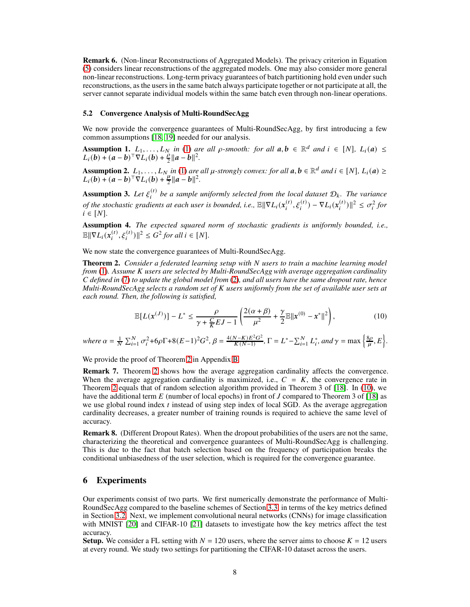Remark 6. (Non-linear Reconstructions of Aggregated Models). The privacy criterion in Equation [\(5\)](#page-4-1) considers linear reconstructions of the aggregated models. One may also consider more general non-linear reconstructions. Long-term privacy guarantees of batch partitioning hold even under such reconstructions, as the users in the same batch always participate together or not participate at all, the server cannot separate individual models within the same batch even through non-linear operations.

### <span id="page-7-1"></span>5.2 Convergence Analysis of Multi-RoundSecAgg

We now provide the convergence guarantees of Multi-RoundSecAgg, by first introducing a few common assumptions [\[18,](#page-11-0) [19\]](#page-11-1) needed for our analysis.

Assumption 1.  $L_1, \ldots, L_N$  in [\(1\)](#page-2-1) are all  $\rho$ -smooth: for all  $a, b \in \mathbb{R}^d$  and  $i \in [N]$ ,  $L_i(a) \leq$  $L_i(b) + (a - b)^{\top} \nabla L_i(b) + \frac{\rho}{2} ||a - b||^2.$ 

Assumption 2.  $L_1, \ldots, L_N$  in [\(1\)](#page-2-1) are all  $\mu$ -strongly convex: for all  $a, b \in \mathbb{R}^d$  and  $i \in [N]$ ,  $L_i(a) \geq$  $L_i(b) + (a - b)^{\top} \nabla L_i(b) + \frac{\mu}{2} ||a - b||^2.$ 

Assumption 3. Let  $\xi_i^{(t)}$  $\mathbf{u}^{(t)}$  be a sample uniformly selected from the local dataset  $\mathcal{D}_k$ . The variance *of the stochastic gradients at each user is bounded, i.e.,*  $\mathbb{E} \| \nabla L_i(x_i^{(t)})$  $\mathbf{G}_i^{(t)}, \xi_i^{(t)}$ ) –  $\nabla L_i(x_i^{(t)})$  $\int_{i}^{(t)}$ ] $\Vert^{2} \leq \sigma_{i}^{2}$  for  $i \in [N]$ .

Assumption 4. *The expected squared norm of stochastic gradients is uniformly bounded, i.e.,*  $\mathbb{E} \|\nabla L_i(\pmb{x}_i^{(t)}$  $\mathcal{L}_{i}^{(t)}, \xi_{i}^{(t)}$ )||<sup>2</sup> ≤ *G*<sup>2</sup> for all i ∈ [N].

We now state the convergence guarantees of Multi-RoundSecAgg.

<span id="page-7-2"></span>**Theorem 2.** *Consider a federated learning setup with* N *users to train a machine learning model from* [\(1\)](#page-2-1). Assume *K* users are selected by Multi-RoundSecAgg with average aggregation cardinality 𝐶 *defined in* [\(7\)](#page-4-3) *to update the global model from* [\(2\)](#page-3-1)*, and all users have the same dropout rate, hence Multi-RoundSecAgg selects a random set of K users uniformly from the set of available user sets at each round. Then, the following is satisfied,*

<span id="page-7-3"></span>
$$
\mathbb{E}[L(\mathbf{x}^{(J)})] - L^* \le \frac{\rho}{\gamma + \frac{C}{K} E J - 1} \left( \frac{2(\alpha + \beta)}{\mu^2} + \frac{\gamma}{2} \mathbb{E} ||\mathbf{x}^{(0)} - \mathbf{x}^*||^2 \right),\tag{10}
$$

*where*  $\alpha = \frac{1}{N} \sum_{i=1}^{N} \sigma_i^2 + 6\rho \Gamma + 8(E-1)^2 G^2$ ,  $\beta = \frac{4(N-K)E^2 G^2}{K(N-1)}$  $\frac{(N-K)E^2G^2}{K(N-1)}$ ,  $\Gamma = L^* - \sum_{i=1}^N L_i^*$ , and  $\gamma = \max \left\{ \frac{8\rho}{\mu} \right\}$  $\frac{\partial \rho}{\mu}, E$ .

We provide the proof of Theorem [2](#page-7-2) in Appendix [B.](#page-13-0)

Remark 7. Theorem [2](#page-7-2) shows how the average aggregation cardinality affects the convergence. When the average aggregation cardinality is maximized, i.e.,  $C = K$ , the convergence rate in Theorem [2](#page-7-2) equals that of random selection algorithm provided in Theorem 3 of [\[18\]](#page-11-0). In [\(10\)](#page-7-3), we have the additional term  $E$  (number of local epochs) in front of  $J$  compared to Theorem 3 of [\[18\]](#page-11-0) as we use global round index  $t$  instead of using step index of local SGD. As the average aggregation cardinality decreases, a greater number of training rounds is required to achieve the same level of accuracy.

Remark 8. (Different Dropout Rates). When the dropout probabilities of the users are not the same, characterizing the theoretical and convergence guarantees of Multi-RoundSecAgg is challenging. This is due to the fact that batch selection based on the frequency of participation breaks the conditional unbiasedness of the user selection, which is required for the convergence guarantee.

### <span id="page-7-0"></span>6 Experiments

Our experiments consist of two parts. We first numerically demonstrate the performance of Multi-RoundSecAgg compared to the baseline schemes of Section [3.3,](#page-5-4) in terms of the key metrics defined in Section [3.2.](#page-3-0) Next, we implement convolutional neural networks (CNNs) for image classification with MNIST [\[20\]](#page-11-2) and CIFAR-10 [\[21\]](#page-11-3) datasets to investigate how the key metrics affect the test accuracy.

**Setup.** We consider a FL setting with  $N = 120$  users, where the server aims to choose  $K = 12$  users at every round. We study two settings for partitioning the CIFAR-10 dataset across the users.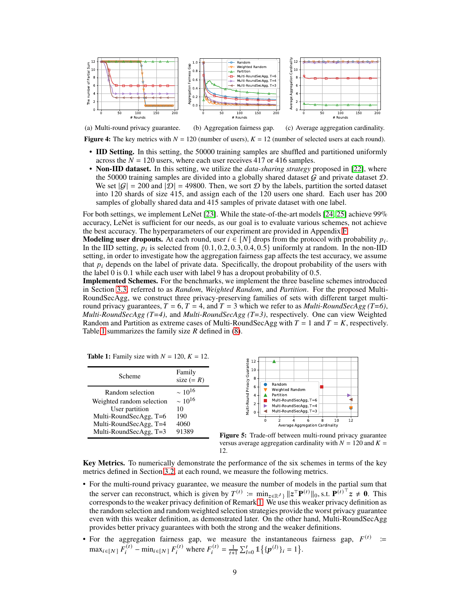<span id="page-8-5"></span><span id="page-8-1"></span>

Figure 4: The key metrics with  $N = 120$  (number of users),  $K = 12$  (number of selected users at each round).

- <span id="page-8-4"></span><span id="page-8-3"></span>• IID Setting. In this setting, the 50000 training samples are shuffled and partitioned uniformly across the  $N = 120$  users, where each user receives 417 or 416 samples.
- Non-IID dataset. In this setting, we utilize the *data-sharing strategy* proposed in [\[22\]](#page-11-4), where the 50000 training samples are divided into a globally shared dataset  $G$  and private dataset  $D$ . We set  $|G| = 200$  and  $|D| = 49800$ . Then, we sort D by the labels, partition the sorted dataset into 120 shards of size 415, and assign each of the 120 users one shard. Each user has 200 samples of globally shared data and 415 samples of private dataset with one label.

For both settings, we implement LeNet [\[23\]](#page-11-5). While the state-of-the-art models [\[24,](#page-11-6) [25\]](#page-11-7) achieve 99% accuracy, LeNet is sufficient for our needs, as our goal is to evaluate various schemes, not achieve the best accuracy. The hyperparameters of our experiment are provided in Appendix [F.](#page-17-1)

**Modeling user dropouts.** At each round, user  $i \in [N]$  drops from the protocol with probability  $p_i$ . In the IID setting,  $p_i$  is selected from  $\{0.1, 0.2, 0.3, 0.4, 0.5\}$  uniformly at random. In the non-IID setting, in order to investigate how the aggregation fairness gap affects the test accuracy, we assume that  $p_i$  depends on the label of private data. Specifically, the dropout probability of the users with the label 0 is 0.1 while each user with label 9 has a dropout probability of 0.5.

Implemented Schemes. For the benchmarks, we implement the three baseline schemes introduced in Section [3.3,](#page-5-4) referred to as *Random*, *Weighted Random*, and *Partition*. For the proposed Multi-RoundSecAgg, we construct three privacy-preserving families of sets with different target multiround privacy guarantees,  $T = 6$ ,  $T = 4$ , and  $T = 3$  which we refer to as *Multi-RoundSecAgg (T=6)*, *Multi-RoundSecAgg (T=4)*, and *Multi-RoundSecAgg (T=3)*, respectively. One can view Weighted Random and Partition as extreme cases of Multi-RoundSecAgg with  $T = 1$  and  $T = K$ , respectively. Table [1](#page-8-0) summarizes the family size  $R$  defined in [\(8\)](#page-5-0).

**Table 1:** Family size with  $N = 120$ ,  $K = 12$ .

<span id="page-8-0"></span>

| Scheme                                                                                                                                        | Family<br>size $(= R)$                                         |
|-----------------------------------------------------------------------------------------------------------------------------------------------|----------------------------------------------------------------|
| Random selection<br>Weighted random selection<br>User partition<br>Multi-RoundSecAgg, T=6<br>Multi-RoundSecAgg, T=4<br>Multi-RoundSecAgg, T=3 | $\sim 10^{16}$<br>$\sim 10^{16}$<br>10<br>190<br>4060<br>91389 |
|                                                                                                                                               |                                                                |



<span id="page-8-2"></span>Figure 5: Trade-off between multi-round privacy guarantee versus average aggregation cardinality with  $N = 120$  and  $K =$ 12.

Key Metrics. To numerically demonstrate the performance of the six schemes in terms of the key metrics defined in Section [3.2,](#page-3-0) at each round, we measure the following metrics.

- For the multi-round privacy guarantee, we measure the number of models in the partial sum that the server can reconstruct, which is given by  $T^{(t)} := \min_{z \in \mathbb{R}^J} ||z^\top P^{(t)}||_0$ , s.t.  $P^{(t)^\top} z \neq 0$ . This corresponds to the weaker privacy definition of Remark [1.](#page-4-2) We use this weaker privacy definition as the random selection and random weighted selection strategies provide the worst privacy guarantee even with this weaker definition, as demonstrated later. On the other hand, Multi-RoundSecAgg provides better privacy guarantees with both the strong and the weaker definitions.
- For the aggregation fairness gap, we measure the instantaneous fairness gap,  $F^{(t)}$  =  $\max_{i \in [N]} F_i^{(t)}$  $F_i^{(t)}$  – min<sub>i</sub> $\in$ [N]  $F_i^{(t)}$  where  $F_i^{(t)}$  $\mathbf{F}_i^{(t)} = \frac{1}{t+1} \sum_{l=0}^t \mathbb{1} \{ \{ \mathbf{p}^{(l)} \}_i = 1 \}.$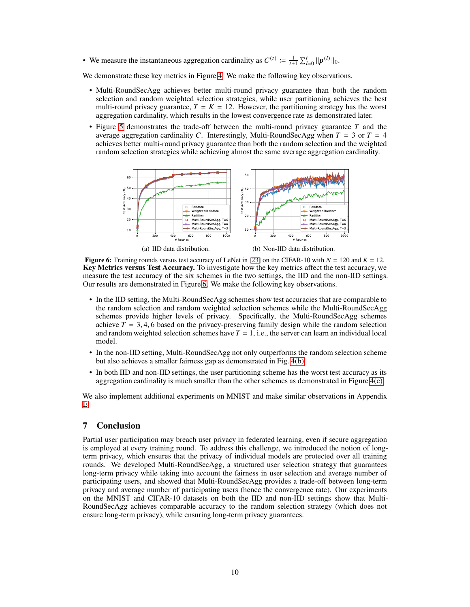• We measure the instantaneous aggregation cardinality as  $C^{(t)} \coloneqq \frac{1}{t+1} \sum_{l=0}^{t} ||p^{(l)}||_0$ .

We demonstrate these key metrics in Figure [4.](#page-8-1) We make the following key observations.

- Multi-RoundSecAgg achieves better multi-round privacy guarantee than both the random selection and random weighted selection strategies, while user partitioning achieves the best multi-round privacy guarantee,  $T = K = 12$ . However, the partitioning strategy has the worst aggregation cardinality, which results in the lowest convergence rate as demonstrated later.
- <span id="page-9-0"></span>• Figure [5](#page-8-2) demonstrates the trade-off between the multi-round privacy guarantee  $T$  and the average aggregation cardinality C. Interestingly, Multi-RoundSecAgg when  $T = 3$  or  $T = 4$ achieves better multi-round privacy guarantee than both the random selection and the weighted random selection strategies while achieving almost the same average aggregation cardinality.



(a) IID data distribution.

(b) Non-IID data distribution.

Figure 6: Training rounds versus test accuracy of LeNet in [\[23\]](#page-11-5) on the CIFAR-10 with  $N = 120$  and  $K = 12$ . Key Metrics versus Test Accuracy. To investigate how the key metrics affect the test accuracy, we measure the test accuracy of the six schemes in the two settings, the IID and the non-IID settings. Our results are demonstrated in Figure [6.](#page-9-0) We make the following key observations.

- In the IID setting, the Multi-RoundSecAgg schemes show test accuracies that are comparable to the random selection and random weighted selection schemes while the Multi-RoundSecAgg schemes provide higher levels of privacy. Specifically, the Multi-RoundSecAgg schemes achieve  $\overline{T}$  = 3, 4, 6 based on the privacy-preserving family design while the random selection and random weighted selection schemes have  $T = 1$ , i.e., the server can learn an individual local model.
- In the non-IID setting, Multi-RoundSecAgg not only outperforms the random selection scheme but also achieves a smaller fairness gap as demonstrated in Fig. [4\(b\).](#page-8-3)
- In both IID and non-IID settings, the user partitioning scheme has the worst test accuracy as its aggregation cardinality is much smaller than the other schemes as demonstrated in Figure [4\(c\).](#page-8-4)

We also implement additional experiments on MNIST and make similar observations in Appendix [E.](#page-15-2)

# 7 Conclusion

Partial user participation may breach user privacy in federated learning, even if secure aggregation is employed at every training round. To address this challenge, we introduced the notion of longterm privacy, which ensures that the privacy of individual models are protected over all training rounds. We developed Multi-RoundSecAgg, a structured user selection strategy that guarantees long-term privacy while taking into account the fairness in user selection and average number of participating users, and showed that Multi-RoundSecAgg provides a trade-off between long-term privacy and average number of participating users (hence the convergence rate). Our experiments on the MNIST and CIFAR-10 datasets on both the IID and non-IID settings show that Multi-RoundSecAgg achieves comparable accuracy to the random selection strategy (which does not ensure long-term privacy), while ensuring long-term privacy guarantees.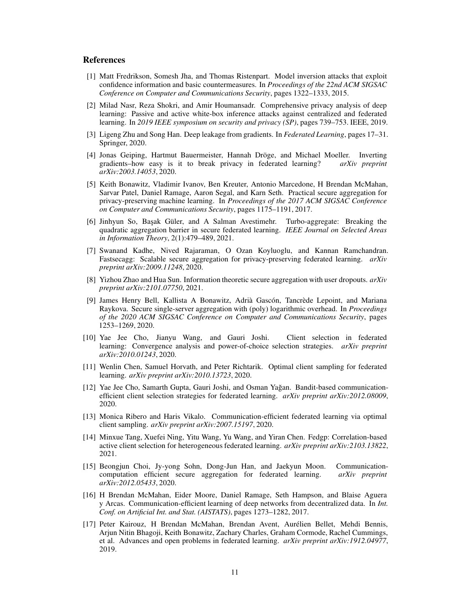### <span id="page-10-0"></span>**References**

- [1] Matt Fredrikson, Somesh Jha, and Thomas Ristenpart. Model inversion attacks that exploit confidence information and basic countermeasures. In *Proceedings of the 22nd ACM SIGSAC Conference on Computer and Communications Security*, pages 1322–1333, 2015.
- <span id="page-10-1"></span>[2] Milad Nasr, Reza Shokri, and Amir Houmansadr. Comprehensive privacy analysis of deep learning: Passive and active white-box inference attacks against centralized and federated learning. In *2019 IEEE symposium on security and privacy (SP)*, pages 739–753. IEEE, 2019.
- <span id="page-10-2"></span>[3] Ligeng Zhu and Song Han. Deep leakage from gradients. In *Federated Learning*, pages 17–31. Springer, 2020.
- <span id="page-10-3"></span>[4] Jonas Geiping, Hartmut Bauermeister, Hannah Dröge, and Michael Moeller. Inverting gradients–how easy is it to break privacy in federated learning? *arXiv preprint arXiv:2003.14053*, 2020.
- <span id="page-10-4"></span>[5] Keith Bonawitz, Vladimir Ivanov, Ben Kreuter, Antonio Marcedone, H Brendan McMahan, Sarvar Patel, Daniel Ramage, Aaron Segal, and Karn Seth. Practical secure aggregation for privacy-preserving machine learning. In *Proceedings of the 2017 ACM SIGSAC Conference on Computer and Communications Security*, pages 1175–1191, 2017.
- <span id="page-10-5"></span>[6] Jinhyun So, Ba¸sak Güler, and A Salman Avestimehr. Turbo-aggregate: Breaking the quadratic aggregation barrier in secure federated learning. *IEEE Journal on Selected Areas in Information Theory*, 2(1):479–489, 2021.
- <span id="page-10-6"></span>[7] Swanand Kadhe, Nived Rajaraman, O Ozan Koyluoglu, and Kannan Ramchandran. Fastsecagg: Scalable secure aggregation for privacy-preserving federated learning. *arXiv preprint arXiv:2009.11248*, 2020.
- <span id="page-10-7"></span>[8] Yizhou Zhao and Hua Sun. Information theoretic secure aggregation with user dropouts. *arXiv preprint arXiv:2101.07750*, 2021.
- <span id="page-10-8"></span>[9] James Henry Bell, Kallista A Bonawitz, Adrià Gascón, Tancrède Lepoint, and Mariana Raykova. Secure single-server aggregation with (poly) logarithmic overhead. In *Proceedings of the 2020 ACM SIGSAC Conference on Computer and Communications Security*, pages 1253–1269, 2020.
- <span id="page-10-9"></span>[10] Yae Jee Cho, Jianyu Wang, and Gauri Joshi. Client selection in federated learning: Convergence analysis and power-of-choice selection strategies. *arXiv preprint arXiv:2010.01243*, 2020.
- <span id="page-10-10"></span>[11] Wenlin Chen, Samuel Horvath, and Peter Richtarik. Optimal client sampling for federated learning. *arXiv preprint arXiv:2010.13723*, 2020.
- <span id="page-10-11"></span>[12] Yae Jee Cho, Samarth Gupta, Gauri Joshi, and Osman Yagan. Bandit-based communication- ˘ efficient client selection strategies for federated learning. *arXiv preprint arXiv:2012.08009*, 2020.
- <span id="page-10-12"></span>[13] Monica Ribero and Haris Vikalo. Communication-efficient federated learning via optimal client sampling. *arXiv preprint arXiv:2007.15197*, 2020.
- <span id="page-10-13"></span>[14] Minxue Tang, Xuefei Ning, Yitu Wang, Yu Wang, and Yiran Chen. Fedgp: Correlation-based active client selection for heterogeneous federated learning. *arXiv preprint arXiv:2103.13822*, 2021.
- <span id="page-10-14"></span>[15] Beongjun Choi, Jy-yong Sohn, Dong-Jun Han, and Jaekyun Moon. Communicationcomputation efficient secure aggregation for federated learning. *arXiv preprint arXiv:2012.05433*, 2020.
- <span id="page-10-15"></span>[16] H Brendan McMahan, Eider Moore, Daniel Ramage, Seth Hampson, and Blaise Aguera y Arcas. Communication-efficient learning of deep networks from decentralized data. In *Int. Conf. on Artificial Int. and Stat. (AISTATS)*, pages 1273–1282, 2017.
- <span id="page-10-16"></span>[17] Peter Kairouz, H Brendan McMahan, Brendan Avent, Aurélien Bellet, Mehdi Bennis, Arjun Nitin Bhagoji, Keith Bonawitz, Zachary Charles, Graham Cormode, Rachel Cummings, et al. Advances and open problems in federated learning. *arXiv preprint arXiv:1912.04977*, 2019.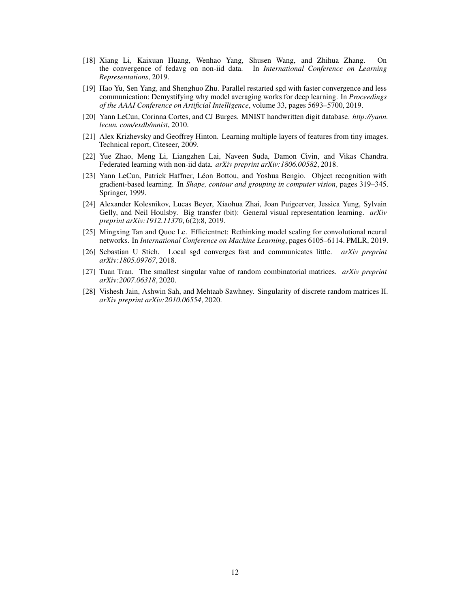- <span id="page-11-0"></span>[18] Xiang Li, Kaixuan Huang, Wenhao Yang, Shusen Wang, and Zhihua Zhang. On the convergence of fedavg on non-iid data. In *International Conference on Learning Representations*, 2019.
- <span id="page-11-1"></span>[19] Hao Yu, Sen Yang, and Shenghuo Zhu. Parallel restarted sgd with faster convergence and less communication: Demystifying why model averaging works for deep learning. In *Proceedings of the AAAI Conference on Artificial Intelligence*, volume 33, pages 5693–5700, 2019.
- <span id="page-11-3"></span><span id="page-11-2"></span>[20] Yann LeCun, Corinna Cortes, and CJ Burges. MNIST handwritten digit database. *http://yann. lecun. com/exdb/mnist*, 2010.
- [21] Alex Krizhevsky and Geoffrey Hinton. Learning multiple layers of features from tiny images. Technical report, Citeseer, 2009.
- <span id="page-11-4"></span>[22] Yue Zhao, Meng Li, Liangzhen Lai, Naveen Suda, Damon Civin, and Vikas Chandra. Federated learning with non-iid data. *arXiv preprint arXiv:1806.00582*, 2018.
- <span id="page-11-5"></span>[23] Yann LeCun, Patrick Haffner, Léon Bottou, and Yoshua Bengio. Object recognition with gradient-based learning. In *Shape, contour and grouping in computer vision*, pages 319–345. Springer, 1999.
- <span id="page-11-6"></span>[24] Alexander Kolesnikov, Lucas Beyer, Xiaohua Zhai, Joan Puigcerver, Jessica Yung, Sylvain Gelly, and Neil Houlsby. Big transfer (bit): General visual representation learning. *arXiv preprint arXiv:1912.11370*, 6(2):8, 2019.
- <span id="page-11-7"></span>[25] Mingxing Tan and Quoc Le. Efficientnet: Rethinking model scaling for convolutional neural networks. In *International Conference on Machine Learning*, pages 6105–6114. PMLR, 2019.
- <span id="page-11-8"></span>[26] Sebastian U Stich. Local sgd converges fast and communicates little. *arXiv preprint arXiv:1805.09767*, 2018.
- <span id="page-11-9"></span>[27] Tuan Tran. The smallest singular value of random combinatorial matrices. *arXiv preprint arXiv:2007.06318*, 2020.
- <span id="page-11-10"></span>[28] Vishesh Jain, Ashwin Sah, and Mehtaab Sawhney. Singularity of discrete random matrices II. *arXiv preprint arXiv:2010.06554*, 2020.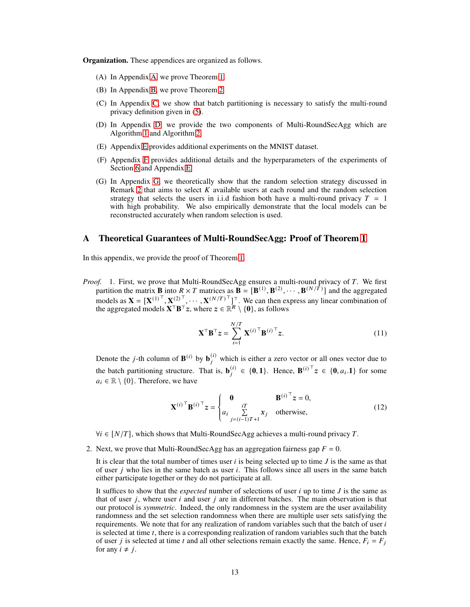**Organization.** These appendices are organized as follows.

- (A) In Appendix [A,](#page-12-0) we prove Theorem [1.](#page-6-2)
- (B) In Appendix [B,](#page-13-0) we prove Theorem [2.](#page-7-2)
- (C) In Appendix [C,](#page-15-1) we show that batch partitioning is necessary to satisfy the multi-round privacy definition given in [\(5\)](#page-4-1).
- (D) In Appendix [D,](#page-15-0) we provide the two components of Multi-RoundSecAgg which are Algorithm [1](#page-16-0) and Algorithm [2.](#page-16-1)
- (E) Appendix [E](#page-15-2) provides additional experiments on the MNIST dataset.
- (F) Appendix [F](#page-17-1) provides additional details and the hyperparameters of the experiments of Section [6](#page-7-0) and Appendix [E.](#page-15-2)
- (G) In Appendix [G,](#page-17-0) we theoretically show that the random selection strategy discussed in Remark [2](#page-4-4) that aims to select  $K$  available users at each round and the random selection strategy that selects the users in i.i.d fashion both have a multi-round privacy  $T = 1$ with high probability. We also empirically demonstrate that the local models can be reconstructed accurately when random selection is used.

# <span id="page-12-0"></span>A Theoretical Guarantees of Multi-RoundSecAgg: Proof of Theorem [1](#page-6-2)

In this appendix, we provide the proof of Theorem [1.](#page-6-2)

*Proof.* 1. First, we prove that Multi-RoundSecAgg ensures a multi-round privacy of T. We first partition the matrix **B** into  $R \times T$  matrices as  $\mathbf{B} = [\mathbf{B}^{(1)}, \mathbf{B}^{(2)}, \cdots, \mathbf{B}^{(N/T)}]$  and the aggregated models as  $\mathbf{X} = [\mathbf{X}^{(1)^\top}, \mathbf{X}^{(2)^\top}, \cdots, \mathbf{X}^{(N/T)^\top}]^\top$ . We can then express any linear combination of the aggregated models  $X^{\top}B^{\top}z$ , where  $z \in \mathbb{R}^R \setminus \{0\}$ , as follows

$$
\mathbf{X}^{\top} \mathbf{B}^{\top} \mathbf{z} = \sum_{i=1}^{N/T} \mathbf{X}^{(i)\top} \mathbf{B}^{(i)\top} \mathbf{z}.
$$
 (11)

Denote the *j*-th column of  $\mathbf{B}^{(i)}$  by  $\mathbf{b}_j^{(i)}$  which is either a zero vector or all ones vector due to the batch partitioning structure. That is,  $\mathbf{b}_i^{(i)}$  $\mathbf{B}_{i}^{(i)}$  ∈ {**0**, **1**}. Hence,  $\mathbf{B}^{(i)^\top} z$  ∈ {**0**, *a*<sub>*i*</sub>. **1**} for some  $a_i \in \mathbb{R} \setminus \{0\}$ . Therefore, we have

$$
\mathbf{X}^{(i)\top}\mathbf{B}^{(i)\top}z = \begin{cases} \mathbf{0} & \mathbf{B}^{(i)\top}z = 0, \\ a_i \sum_{j=(i-1)T+1}^{i} x_j & \text{otherwise,} \end{cases}
$$
(12)

 $\forall i \in [N/T]$ , which shows that Multi-RoundSecAgg achieves a multi-round privacy T.

2. Next, we prove that Multi-RoundSecAgg has an aggregation fairness gap  $F = 0$ .

It is clear that the total number of times user  $i$  is being selected up to time  $J$  is the same as that of user  $j$  who lies in the same batch as user  $i$ . This follows since all users in the same batch either participate together or they do not participate at all.

It suffices to show that the *expected* number of selections of user  $i$  up to time  $J$  is the same as that of user  $j$ , where user  $i$  and user  $j$  are in different batches. The main observation is that our protocol is *symmetric*. Indeed, the only randomness in the system are the user availability randomness and the set selection randomness when there are multiple user sets satisfying the requirements. We note that for any realization of random variables such that the batch of user  $i$ is selected at time  $t$ , there is a corresponding realization of random variables such that the batch of user *j* is selected at time *t* and all other selections remain exactly the same. Hence,  $F_i = F_j$ for any  $i \neq j$ .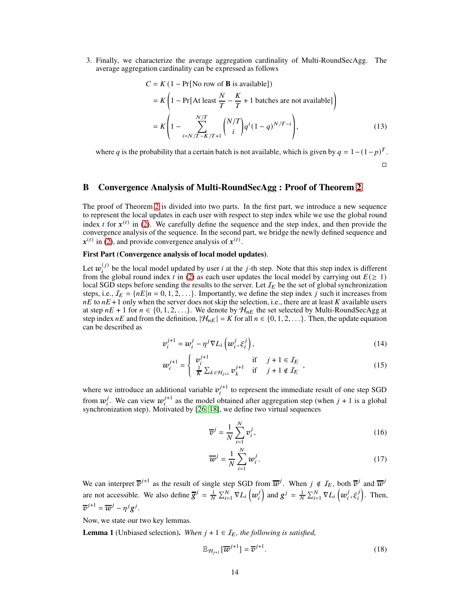3. Finally, we characterize the average aggregation cardinality of Multi-RoundSecAgg. The average aggregation cardinality can be expressed as follows

$$
C = K (1 - Pr[No row of B is available])
$$
  
=  $K \left( 1 - Pr[At least \frac{N}{T} - \frac{K}{T} + 1 \text{ batches are not available}] \right)$   
=  $K \left( 1 - \sum_{i=N/T-K/T+1}^{N/T} {N/T \choose i} q^{i} (1-q)^{N/T-i} \right),$  (13)

where q is the probability that a certain batch is not available, which is given by  $q = 1 - (1 - p)^T$ .

 $\Box$ 

# <span id="page-13-0"></span>B Convergence Analysis of Multi-RoundSecAgg : Proof of Theorem [2](#page-7-2)

The proof of Theorem [2](#page-7-2) is divided into two parts. In the first part, we introduce a new sequence to represent the local updates in each user with respect to step index while we use the global round index t for  $x^{(t)}$  in [\(2\)](#page-3-1). We carefully define the sequence and the step index, and then provide the convergence analysis of the sequence. In the second part, we bridge the newly defined sequence and  $x^{(t)}$  in [\(2\)](#page-3-1), and provide convergence analysis of  $x^{(t)}$ .

### First Part (Convergence analysis of local model updates).

Let  $w_i^{(j)}$  $\mu^{(j)}$  be the local model updated by user *i* at the *j*-th step. Note that this step index is different from the global round index t in [\(2\)](#page-3-1) as each user updates the local model by carrying out  $E(\geq 1)$ local SGD steps before sending the results to the server. Let  $I_E$  be the set of global synchronization steps, i.e.,  $I_E = \{nE | n = 0, 1, 2, \ldots\}$ . Importantly, we define the step index j such it increases from  $nE$  to  $nE + 1$  only when the server does not skip the selection, i.e., there are at least K available users at step  $nE + 1$  for  $n \in \{0, 1, 2, \ldots\}$ . We denote by  $\mathcal{H}_{nE}$  the set selected by Multi-RoundSecAgg at step index  $nE$  and from the definition,  $|\mathcal{H}_{nE}| = K$  for all  $n \in \{0, 1, 2, \ldots\}$ . Then, the update equation can be described as

$$
\boldsymbol{v}_i^{j+1} = \boldsymbol{w}_i^j - \eta^j \nabla L_i \left( \boldsymbol{w}_i^j, \xi_i^j \right), \tag{14}
$$

$$
w_i^{j+1} = \begin{cases} v_i^{j+1} & \text{if } j+1 \in I_E \\ \frac{1}{K} \sum_{k \in \mathcal{H}_{j+1}} v_k^{j+1} & \text{if } j+1 \notin I_E \end{cases}
$$
 (15)

where we introduce an additional variable  $v_i^{j+1}$  $j_{i}^{t+1}$  to represent the immediate result of one step SGD from  $w_i^j$  $j$ . We can view  $w_i^{j+1}$  $j^{+1}$  as the model obtained after aggregation step (when  $j + 1$  is a global synchronization step). Motivated by [\[26,](#page-11-8) [18\]](#page-11-0), we define two virtual sequences

$$
\overline{v}^j = \frac{1}{N} \sum_{i=1}^N v_i^j,
$$
\n(16)

<span id="page-13-1"></span>
$$
\overline{w}^j = \frac{1}{N} \sum_{i=1}^N w_i^j.
$$
 (17)

We can interpret  $\overline{v}^{j+1}$  as the result of single step SGD from  $\overline{w}^j$ . When  $j \notin I_E$ , both  $\overline{v}^j$  and  $\overline{w}^j$ are not accessible. We also define  $\overline{g}^j = \frac{1}{N} \sum_{i=1}^N \nabla L_i \left( w_i^j \right)$ i and  $g^j = \frac{1}{N} \sum_{i=1}^N \nabla L_i \left( w_i^j \right)$  $j_i^j, \xi_i^j$ ). Then,  $\overline{v}^{j+1} = \overline{w}^j - \eta^j g^j.$ 

Now, we state our two key lemmas.

<span id="page-13-2"></span>**Lemma 1** (Unbiased selection). When  $j + 1 \in \mathcal{I}_E$ , the following is satisfied,

$$
\mathbb{E}_{\mathcal{H}_{j+1}}[\overline{\boldsymbol{w}}^{j+1}] = \overline{\boldsymbol{v}}^{j+1}.
$$
\n(18)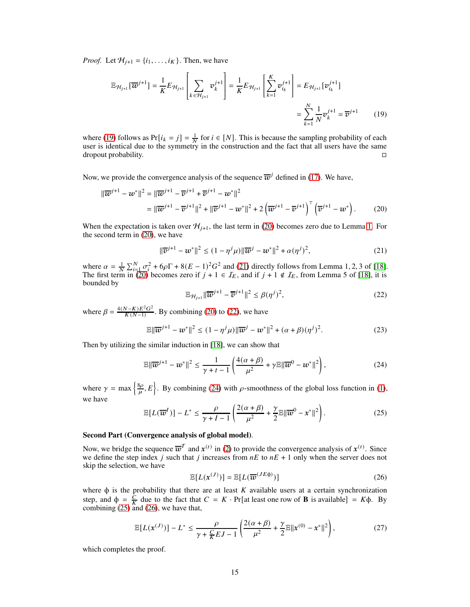*Proof.* Let  $H_{i+1} = \{i_1, \ldots, i_K\}$ . Then, we have

$$
\mathbb{E}_{\mathcal{H}_{j+1}}[\overline{\boldsymbol{w}}^{j+1}] = \frac{1}{K} E_{\mathcal{H}_{j+1}} \left[ \sum_{k \in \mathcal{H}_{j+1}} \boldsymbol{v}_k^{j+1} \right] = \frac{1}{K} E_{\mathcal{H}_{j+1}} \left[ \sum_{k=1}^K \boldsymbol{v}_{i_k}^{j+1} \right] = E_{\mathcal{H}_{j+1}}[\boldsymbol{v}_{i_k}^{j+1}]
$$

$$
= \sum_{k=1}^N \frac{1}{N} \boldsymbol{v}_k^{j+1} = \overline{\boldsymbol{v}}^{j+1} \qquad (19)
$$

where [\(19\)](#page-14-0) follows as  $Pr[i_k = j] = \frac{1}{N}$  for  $i \in [N]$ . This is because the sampling probability of each user is identical due to the symmetry in the construction and the fact that all users have the same dropout probability. □

Now, we provide the convergence analysis of the sequence  $\overline{w}^j$  defined in [\(17\)](#page-13-1). We have,

$$
\|\overline{\boldsymbol{w}}^{j+1} - \boldsymbol{w}^*\|^2 = \|\overline{\boldsymbol{w}}^{j+1} - \overline{\boldsymbol{v}}^{j+1} + \overline{\boldsymbol{v}}^{j+1} - \boldsymbol{w}^*\|^2
$$
  
= 
$$
\|\overline{\boldsymbol{w}}^{j+1} - \overline{\boldsymbol{v}}^{j+1}\|^2 + \|\overline{\boldsymbol{v}}^{j+1} - \boldsymbol{w}^*\|^2 + 2\left(\overline{\boldsymbol{w}}^{j+1} - \overline{\boldsymbol{v}}^{j+1}\right)^\top \left(\overline{\boldsymbol{v}}^{j+1} - \boldsymbol{w}^*\right).
$$
 (20)

When the expectation is taken over  $\mathcal{H}_{j+1}$ , the last term in [\(20\)](#page-14-1) becomes zero due to Lemma [1.](#page-13-2) For the second term in [\(20\)](#page-14-1), we have

<span id="page-14-2"></span><span id="page-14-0"></span>
$$
\|\overline{v}^{j+1} - w^*\|^2 \le (1 - \eta^j \mu) \|\overline{w}^j - w^*\|^2 + \alpha (\eta^j)^2,
$$
 (21)

where  $\alpha = \frac{1}{N} \sum_{i=1}^{N} \frac{\sigma_i^2}{\sigma_i^2} + 6\rho \Gamma + 8(E-1)^2 G^2$  and [\(21\)](#page-14-2) directly follows from Lemma 1, 2, 3 of [\[18\]](#page-11-0). The first term in [\(20\)](#page-14-1) becomes zero if  $j + 1 \in I<sub>E</sub>$ , and if  $j + 1 \notin I<sub>E</sub>$ , from Lemma 5 of [\[18\]](#page-11-0), it is bounded by

<span id="page-14-3"></span><span id="page-14-1"></span>
$$
\mathbb{E}_{\mathcal{H}_{j+1}} \|\overline{\boldsymbol{w}}^{j+1} - \overline{\boldsymbol{v}}^{j+1}\|^2 \le \beta (\eta^j)^2,
$$
\n(22)

where  $\beta = \frac{4(N-K)E^2G^2}{K(N-1)}$  $\frac{N-K}{K(N-1)}$ . By combining [\(20\)](#page-14-1) to [\(22\)](#page-14-3), we have

$$
\mathbb{E} \|\overline{w}^{j+1} - w^*\|^2 \le (1 - \eta^j \mu) \|\overline{w}^j - w^*\|^2 + (\alpha + \beta)(\eta^j)^2. \tag{23}
$$

Then by utilizing the similar induction in [\[18\]](#page-11-0), we can show that

<span id="page-14-4"></span>
$$
\mathbb{E}\|\overline{\boldsymbol{w}}^{j+1} - \boldsymbol{w}^*\|^2 \le \frac{1}{\gamma + t - 1} \left(\frac{4(\alpha + \beta)}{\mu^2} + \gamma \mathbb{E}\|\overline{\boldsymbol{w}}^0 - \boldsymbol{w}^*\|^2\right),\tag{24}
$$

where  $\gamma = \max \left\{ \frac{8\rho}{\mu} \right\}$  $\left\{\frac{\delta \rho}{\mu}, E\right\}$ . By combining [\(24\)](#page-14-4) with  $\rho$ -smoothness of the global loss function in [\(1\)](#page-2-1), we have

<span id="page-14-5"></span>
$$
\mathbb{E}[L(\overline{w}^I)] - L^* \le \frac{\rho}{\gamma + I - 1} \left( \frac{2(\alpha + \beta)}{\mu^2} + \frac{\gamma}{2} \mathbb{E} ||\overline{w}^0 - x^*||^2 \right).
$$
 (25)

### Second Part (Convergence analysis of global model).

Now, we bridge the sequence  $\overline{w}^T$  and  $x^{(t)}$  in [\(2\)](#page-3-1) to provide the convergence analysis of  $x^{(t)}$ . Since we define the step index *j* such that *j* increases from  $nE$  to  $nE + 1$  only when the server does not skip the selection, we have

<span id="page-14-6"></span>
$$
\mathbb{E}[L(\mathbf{x}^{(J)})] = \mathbb{E}[L(\overline{\boldsymbol{w}}^{(JE\phi)})]
$$
(26)

where  $\phi$  is the probability that there are at least  $K$  available users at a certain synchronization step, and  $\phi = \frac{\bar{C}}{K}$  due to the fact that  $C = K \cdot Pr[$ at least one row of **B** is available] =  $K\phi$ . By combining  $(25)$  and  $(26)$ , we have that,

$$
\mathbb{E}[L(\mathbf{x}^{(J)})] - L^* \le \frac{\rho}{\gamma + \frac{C}{K}EJ - 1} \left( \frac{2(\alpha + \beta)}{\mu^2} + \frac{\gamma}{2} \mathbb{E} ||\mathbf{x}^{(0)} - \mathbf{x}^*||^2 \right),\tag{27}
$$

which completes the proof.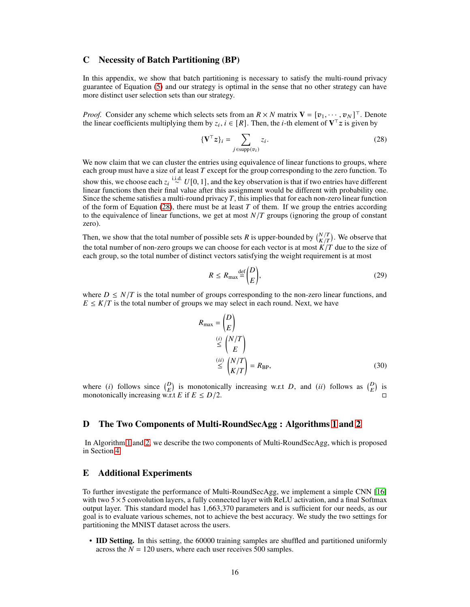### C Necessity of Batch Partitioning (BP)

In this appendix, we show that batch partitioning is necessary to satisfy the multi-round privacy guarantee of Equation [\(5\)](#page-4-1) and our strategy is optimal in the sense that no other strategy can have more distinct user selection sets than our strategy.

*Proof.* Consider any scheme which selects sets from an  $R \times N$  matrix  $V = [v_1, \dots, v_N]^\top$ . Denote the linear coefficients multiplying them by  $z_i$ ,  $i \in [R]$ . Then, the *i*-th element of  $V^{\top}z$  is given by

<span id="page-15-3"></span>
$$
\{\mathbf V^\top \mathbf z\}_i = \sum_{j \in \text{supp}(v_i)} z_i.
$$
 (28)

We now claim that we can cluster the entries using equivalence of linear functions to groups, where each group must have a size of at least T except for the group corresponding to the zero function. To show this, we choose each  $z_i \stackrel{\text{i.i.d.}}{\sim} U[0, 1]$ , and the key observation is that if two entries have different linear functions then their final value after this assignment would be different with probability one. Since the scheme satisfies a multi-round privacy  $T$ , this implies that for each non-zero linear function of the form of Equation [\(28\)](#page-15-3), there must be at least  $T$  of them. If we group the entries according to the equivalence of linear functions, we get at most  $N/T$  groups (ignoring the group of constant zero).

Then, we show that the total number of possible sets R is upper-bounded by  $\binom{N}{K/T}$ . We observe that the total number of non-zero groups we can choose for each vector is at most  $K/T$  due to the size of each group, so the total number of distinct vectors satisfying the weight requirement is at most

$$
R \le R_{\text{max}} \frac{\text{def}}{E} \binom{D}{E},\tag{29}
$$

where  $D \leq N/T$  is the total number of groups corresponding to the non-zero linear functions, and  $E \leq K/T$  is the total number of groups we may select in each round. Next, we have

<span id="page-15-1"></span>
$$
R_{\text{max}} = \binom{D}{E}
$$
  
\n
$$
\stackrel{(i)}{\leq} \binom{N/T}{E}
$$
  
\n
$$
\stackrel{(ii)}{\leq} \binom{N/T}{K/T} = R_{\text{BP}},
$$
  
\n(30)

where (*i*) follows since  $\binom{D}{E}$  is monotonically increasing w.r.t *D*, and (*ii*) follows as  $\binom{D}{E}$  is monotonically increasing w.r.t E if  $E \le D/2$ .

### <span id="page-15-0"></span>D The Two Components of Multi-RoundSecAgg : Algorithms [1](#page-16-0) and [2](#page-16-1)

In Algorithm [1](#page-16-0) and [2,](#page-16-1) we describe the two components of Multi-RoundSecAgg, which is proposed in Section [4.](#page-5-3)

### <span id="page-15-2"></span>E Additional Experiments

To further investigate the performance of Multi-RoundSecAgg, we implement a simple CNN [\[16\]](#page-10-15) with two  $5\times 5$  convolution layers, a fully connected layer with ReLU activation, and a final Softmax output layer. This standard model has 1,663,370 parameters and is sufficient for our needs, as our goal is to evaluate various schemes, not to achieve the best accuracy. We study the two settings for partitioning the MNIST dataset across the users.

• IID Setting. In this setting, the 60000 training samples are shuffled and partitioned uniformly across the  $N = 120$  users, where each user receives 500 samples.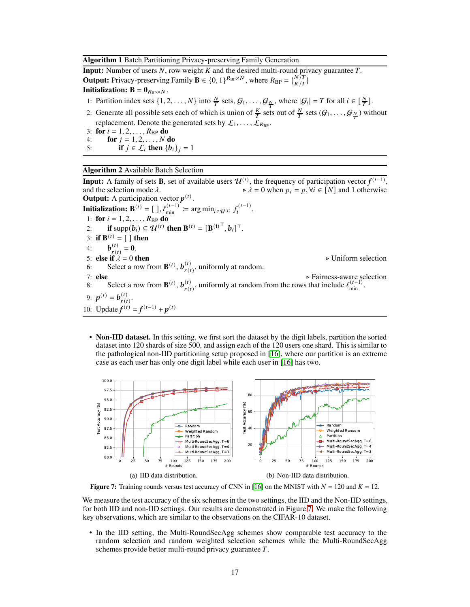#### <span id="page-16-0"></span>Algorithm 1 Batch Partitioning Privacy-preserving Family Generation

**Input:** Number of users  $N$ , row weight  $K$  and the desired multi-round privacy guarantee  $T$ . **Output:** Privacy-preserving Family  $\mathbf{B} \in \{0, 1\}^{R_{BP} \times N}$ , where  $R_{BP} = \binom{N/T}{K/T}$ **Initialization:**  $\mathbf{B} = \mathbf{0}_{R_{\text{BP}} \times N}$ .

- 1: Partition index sets  $\{1, 2, ..., N\}$  into  $\frac{N}{T}$  sets,  $G_1, ..., G_{\frac{N}{T}}$ , where  $|G_i| = T$  for all  $i \in [\frac{N}{T}]$ .
- 2: Generate all possible sets each of which is union of  $\frac{K}{T}$  sets out of  $\frac{N}{T}$  sets  $(G_1, \ldots, G_{\frac{N}{T}})$  without replacement. Denote the generated sets by  $\mathcal{L}_1, \ldots, \mathcal{L}_{R_{\text{BP}}}.$
- 3: for  $i = 1, 2, ..., R_{BP}$  do 4: **for**  $j = 1, 2, ..., N$  do
- <span id="page-16-1"></span>5: **if**  $j \in \mathcal{L}_i$  then  $\{b_i\}_j = 1$

### Algorithm 2 Available Batch Selection

**Input:** A family of sets **B**, set of available users  $\mathcal{U}^{(t)}$ , the frequency of participation vector  $f^{(t-1)}$ , and the selection mode  $\lambda$ .  $\lambda = 0$  when  $p_i = p$ ,  $\forall i \in [N]$  and 1 otherwise **Output:** A participation vector  $p^{(t)}$ . **Initialization:**  $\mathbf{B}^{(t)} = [\ ]$ ,  $\ell_{\min}^{(t-1)} := \arg \min_{i \in \mathcal{U}^{(t)}} f_i^{(t-1)}$  $\frac{i^{(l-1)}}{i}$ . 1: **for**  $i = 1, 2, ..., R_{BP}$  **do** 2: if supp $(b_i) \subseteq \mathcal{U}^{(t)}$  then  $\mathbf{B}^{(t)} = [\mathbf{B}^{(t)}^\top, b_i]^\top$ . 3: **if**  $B^{(t)} = [$  ] then 4:  $$  $_{r(t)}^{(t)} = 0.$ 5: else if  $\lambda = 0$  then  $\triangleright$  Uniform selection 6: Select a row from  $\mathbf{B}^{(t)}$ ,  $\mathbf{b}_{r(t)}^{(t)}$  $_{r(t)}^{(t)}$ , uniformly at random. 7: else ⊳ Fairness-aware selection 8: Select a row from  $\mathbf{B}^{(t)}$ ,  $\mathbf{b}_{r(t)}^{(t)}$  $_{r(t)}^{(t)}$ , uniformly at random from the rows that include  $\ell_{\min}^{(t-1)}$ . 9:  $p^{(t)} = b_{r(t)}^{(t)}$  $\frac{r(t)}{r(t)}$ . 10: Update  $f^{(t)} = f^{(t-1)} + p^{(t)}$ 

• Non-IID dataset. In this setting, we first sort the dataset by the digit labels, partition the sorted dataset into 120 shards of size 500, and assign each of the 120 users one shard. This is similar to the pathological non-IID partitioning setup proposed in [\[16\]](#page-10-15), where our partition is an extreme case as each user has only one digit label while each user in [\[16\]](#page-10-15) has two.

<span id="page-16-2"></span>

Figure 7: Training rounds versus test accuracy of CNN in [\[16\]](#page-10-15) on the MNIST with  $N = 120$  and  $K = 12$ .

We measure the test accuracy of the six schemes in the two settings, the IID and the Non-IID settings, for both IID and non-IID settings. Our results are demonstrated in Figure [7.](#page-16-2) We make the following key observations, which are similar to the observations on the CIFAR-10 dataset.

• In the IID setting, the Multi-RoundSecAgg schemes show comparable test accuracy to the random selection and random weighted selection schemes while the Multi-RoundSecAgg schemes provide better multi-round privacy guarantee  $T$ .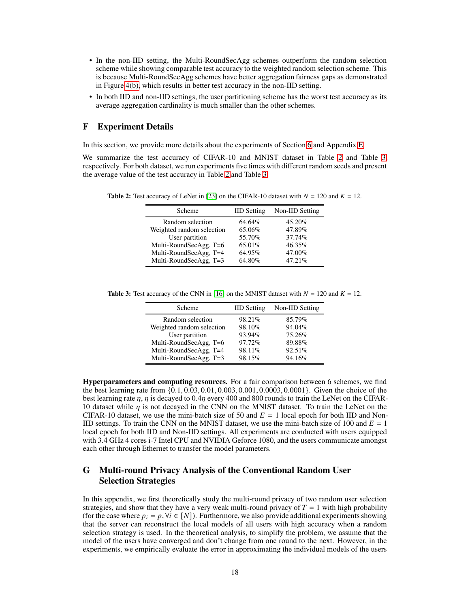- In the non-IID setting, the Multi-RoundSecAgg schemes outperform the random selection scheme while showing comparable test accuracy to the weighted random selection scheme. This is because Multi-RoundSecAgg schemes have better aggregation fairness gaps as demonstrated in Figure [4\(b\),](#page-8-3) which results in better test accuracy in the non-IID setting.
- In both IID and non-IID settings, the user partitioning scheme has the worst test accuracy as its average aggregation cardinality is much smaller than the other schemes.

### <span id="page-17-1"></span>F Experiment Details

In this section, we provide more details about the experiments of Section [6](#page-7-0) and Appendix [E.](#page-15-2)

<span id="page-17-2"></span>We summarize the test accuracy of CIFAR-10 and MNIST dataset in Table [2](#page-17-2) and Table [3,](#page-17-3) respectively. For both dataset, we run experiments five times with different random seeds and present the average value of the test accuracy in Table [2](#page-17-2) and Table [3.](#page-17-3)

**Table 2:** Test accuracy of LeNet in [\[23\]](#page-11-5) on the CIFAR-10 dataset with  $N = 120$  and  $K = 12$ .

| Scheme                    | <b>IID</b> Setting | Non-IID Setting |
|---------------------------|--------------------|-----------------|
| Random selection          | 64.64%             | 45.20%          |
| Weighted random selection | 65.06%             | 47.89%          |
| User partition            | 55.70%             | 37.74%          |
| Multi-RoundSecAgg, T=6    | $65.01\%$          | 46.35%          |
| Multi-RoundSecAgg, T=4    | 64.95%             | 47.00%          |
| Multi-RoundSecAgg, T=3    | 64.80%             | 47.21%          |

<span id="page-17-3"></span>**Table 3:** Test accuracy of the CNN in [\[16\]](#page-10-15) on the MNIST dataset with  $N = 120$  and  $K = 12$ .

| Scheme                    | <b>IID</b> Setting | Non-IID Setting |
|---------------------------|--------------------|-----------------|
| Random selection          | $98.21\%$          | 85.79%          |
| Weighted random selection | 98.10%             | 94.04%          |
| User partition            | 93.94%             | 75.26%          |
| Multi-RoundSecAgg, T=6    | 97.72%             | 89.88%          |
| Multi-RoundSecAgg, T=4    | 98.11%             | 92.51%          |
| Multi-RoundSecAgg, T=3    | 98.15%             | 94.16%          |

Hyperparameters and computing resources. For a fair comparison between 6 schemes, we find the best learning rate from {0.1, 0.03, 0.01, 0.003, 0.001, 0.0003, 0.0001}. Given the choice of the best learning rate  $\eta$ ,  $\eta$  is decayed to 0.4 $\eta$  every 400 and 800 rounds to train the LeNet on the CIFAR-10 dataset while  $\eta$  is not decayed in the CNN on the MNIST dataset. To train the LeNet on the CIFAR-10 dataset, we use the mini-batch size of 50 and  $E = 1$  local epoch for both IID and Non-IID settings. To train the CNN on the MNIST dataset, we use the mini-batch size of 100 and  $E = 1$ local epoch for both IID and Non-IID settings. All experiments are conducted with users equipped with 3.4 GHz 4 cores i-7 Intel CPU and NVIDIA Geforce 1080, and the users communicate amongst each other through Ethernet to transfer the model parameters.

# <span id="page-17-0"></span>G Multi-round Privacy Analysis of the Conventional Random User Selection Strategies

In this appendix, we first theoretically study the multi-round privacy of two random user selection strategies, and show that they have a very weak multi-round privacy of  $T = 1$  with high probability (for the case where  $p_i = p$ ,  $\forall i \in [N]$ ). Furthermore, we also provide additional experiments showing that the server can reconstruct the local models of all users with high accuracy when a random selection strategy is used. In the theoretical analysis, to simplify the problem, we assume that the model of the users have converged and don't change from one round to the next. However, in the experiments, we empirically evaluate the error in approximating the individual models of the users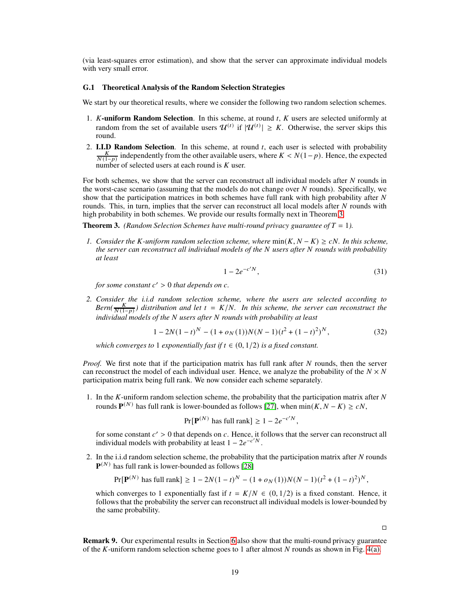(via least-squares error estimation), and show that the server can approximate individual models with very small error.

#### G.1 Theoretical Analysis of the Random Selection Strategies

We start by our theoretical results, where we consider the following two random selection schemes.

- 1.  $K$ -uniform Random Selection. In this scheme, at round  $t$ ,  $K$  users are selected uniformly at random from the set of available users  $\mathcal{U}^{(t)}$  if  $|\mathcal{U}^{(t)}| \geq K$ . Otherwise, the server skips this round.
- 2. **I.I.D Random Selection.** In this scheme, at round  $t$ , each user is selected with probability  $\frac{K}{N(1-p)}$  independently from the other available users, where  $K < N(1-p)$ . Hence, the expected number of selected users at each round is  $K$  user.

For both schemes, we show that the server can reconstruct all individual models after  $N$  rounds in the worst-case scenario (assuming that the models do not change over  $N$  rounds). Specifically, we show that the participation matrices in both schemes have full rank with high probability after  $N$ rounds. This, in turn, implies that the server can reconstruct all local models after  $N$  rounds with high probability in both schemes. We provide our results formally next in Theorem [3.](#page-18-0)

<span id="page-18-0"></span>**Theorem 3.** *(Random Selection Schemes have multi-round privacy guarantee of*  $T = 1$ *).* 

*1. Consider the K-uniform random selection scheme, where*  $min(K, N - K) ≥ cN$ . In this scheme, *the server can reconstruct all individual models of the* N *users after* N *rounds with probability at least*

$$
1 - 2e^{-c^{\prime}N},\tag{31}
$$

*for some constant*  $c' > 0$  *that depends on c.* 

*2. Consider the i.i.d random selection scheme, where the users are selected according to*  $Bern(\frac{K}{N(1-p)})$  distribution and let  $t = K/N$ . In this scheme, the server can reconstruct the *individual models of the N users after N rounds with probability at least* 

$$
1 - 2N(1 - t)^N - (1 + o_N(1))N(N - 1)(t^2 + (1 - t)^2)^N,
$$
\n(32)

*which converges to* 1 *exponentially fast if*  $t \in (0, 1/2)$  *is a fixed constant.* 

*Proof.* We first note that if the participation matrix has full rank after N rounds, then the server can reconstruct the model of each individual user. Hence, we analyze the probability of the  $N \times N$ participation matrix being full rank. We now consider each scheme separately.

1. In the  $K$ -uniform random selection scheme, the probability that the participation matrix after  $N$ rounds  $\mathbf{P}^{(N)}$  has full rank is lower-bounded as follows [\[27\]](#page-11-9), when  $\min(K, N - K) \ge cN$ ,

$$
Pr[\mathbf{P}^{(N)} \text{ has full rank}] \ge 1 - 2e^{-c^{\prime}N},
$$

for some constant  $c' > 0$  that depends on  $c$ . Hence, it follows that the server can reconstruct all individual models with probability at least  $1 - 2e^{-c/N}$ .

2. In the i.i.d random selection scheme, the probability that the participation matrix after  $N$  rounds  $\mathbf{P}^{(N)}$  has full rank is lower-bounded as follows [\[28\]](#page-11-10)

$$
\Pr[\mathbf{P}^{(N)} \text{ has full rank}] \ge 1 - 2N(1 - t)^N - (1 + o_N(1))N(N - 1)(t^2 + (1 - t)^2)^N,
$$

which converges to 1 exponentially fast if  $t = K/N \in (0, 1/2)$  is a fixed constant. Hence, it follows that the probability the server can reconstruct all individual models is lower-bounded by the same probability.

 $\Box$ 

Remark 9. Our experimental results in Section [6](#page-7-0) also show that the multi-round privacy guarantee of the *K*-uniform random selection scheme goes to 1 after almost N rounds as shown in Fig. [4\(a\).](#page-8-5)